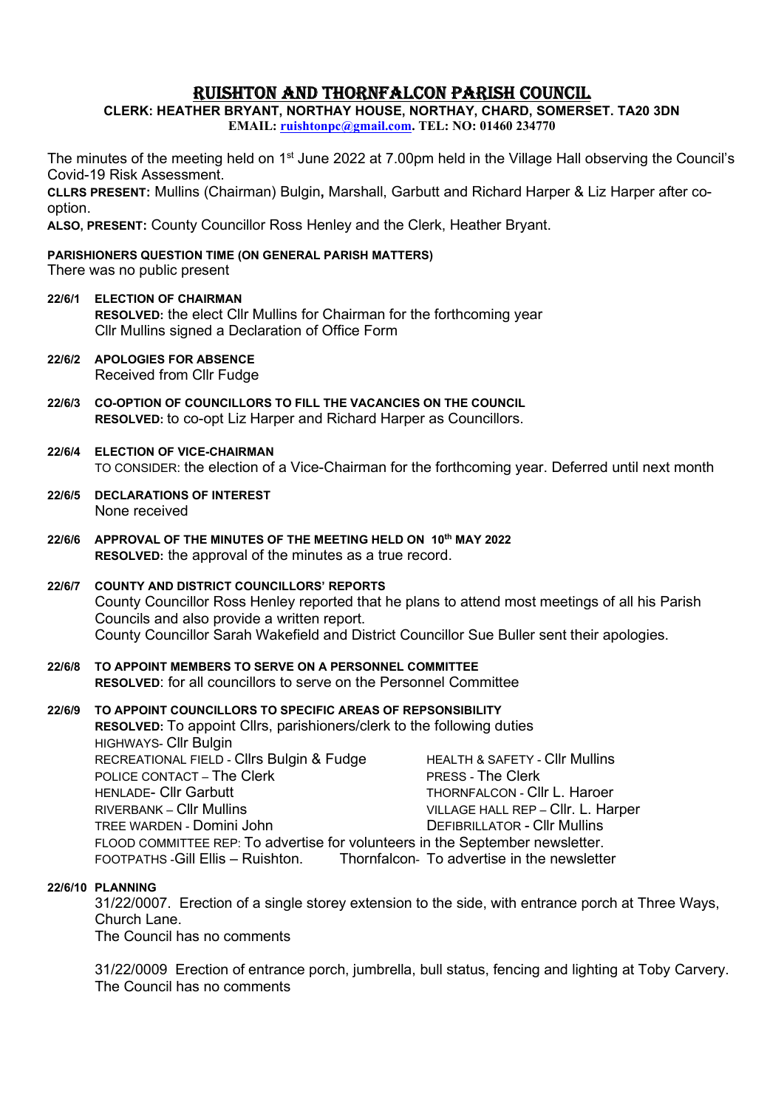# RUISHTON AND THORNFALCON PARISH COUNCIL

CLERK: HEATHER BRYANT, NORTHAY HOUSE, NORTHAY, CHARD, SOMERSET. TA20 3DN EMAIL: ruishtonpc@gmail.com. TEL: NO: 01460 234770

The minutes of the meeting held on 1<sup>st</sup> June 2022 at 7.00pm held in the Village Hall observing the Council's Covid-19 Risk Assessment.

CLLRS PRESENT: Mullins (Chairman) Bulgin, Marshall, Garbutt and Richard Harper & Liz Harper after cooption.

ALSO, PRESENT: County Councillor Ross Henley and the Clerk, Heather Bryant.

#### PARISHIONERS QUESTION TIME (ON GENERAL PARISH MATTERS)

There was no public present

- 22/6/1 ELECTION OF CHAIRMAN RESOLVED: the elect Cllr Mullins for Chairman for the forthcoming year Cllr Mullins signed a Declaration of Office Form
- 22/6/2 APOLOGIES FOR ABSENCE Received from Cllr Fudge
- 22/6/3 CO-OPTION OF COUNCILLORS TO FILL THE VACANCIES ON THE COUNCIL RESOLVED: to co-opt Liz Harper and Richard Harper as Councillors.
- 22/6/4 ELECTION OF VICE-CHAIRMAN TO CONSIDER: the election of a Vice-Chairman for the forthcoming year. Deferred until next month
- 22/6/5 DECLARATIONS OF INTEREST None received
- 22/6/6 APPROVAL OF THE MINUTES OF THE MEETING HELD ON 10th MAY 2022 RESOLVED: the approval of the minutes as a true record.
- 22/6/7 COUNTY AND DISTRICT COUNCILLORS' REPORTS County Councillor Ross Henley reported that he plans to attend most meetings of all his Parish Councils and also provide a written report. County Councillor Sarah Wakefield and District Councillor Sue Buller sent their apologies.
- 22/6/8 TO APPOINT MEMBERS TO SERVE ON A PERSONNEL COMMITTEE RESOLVED: for all councillors to serve on the Personnel Committee

## 22/6/9 TO APPOINT COUNCILLORS TO SPECIFIC AREAS OF REPSONSIBILITY RESOLVED: To appoint Cllrs, parishioners/clerk to the following duties HIGHWAYS- Cllr Bulgin RECREATIONAL FIELD - Clirs Bulgin & Fudge HEALTH & SAFETY - Clir Mullins POLICE CONTACT – The Clerk PRESS - The Clerk

HENLADE- Cllr Garbutt THORNFALCON - Cllr L. Haroer RIVERBANK – Cllr Mullins VILLAGE HALL REP – Cllr. L. Harper TREE WARDEN - Domini John DEFIBRILLATOR - Cllr Mullins FLOOD COMMITTEE REP: To advertise for volunteers in the September newsletter. FOOTPATHS -Gill Ellis – Ruishton. Thornfalcon- To advertise in the newsletter

## 22/6/10 PLANNING

31/22/0007. Erection of a single storey extension to the side, with entrance porch at Three Ways, Church Lane.

The Council has no comments

31/22/0009 Erection of entrance porch, jumbrella, bull status, fencing and lighting at Toby Carvery. The Council has no comments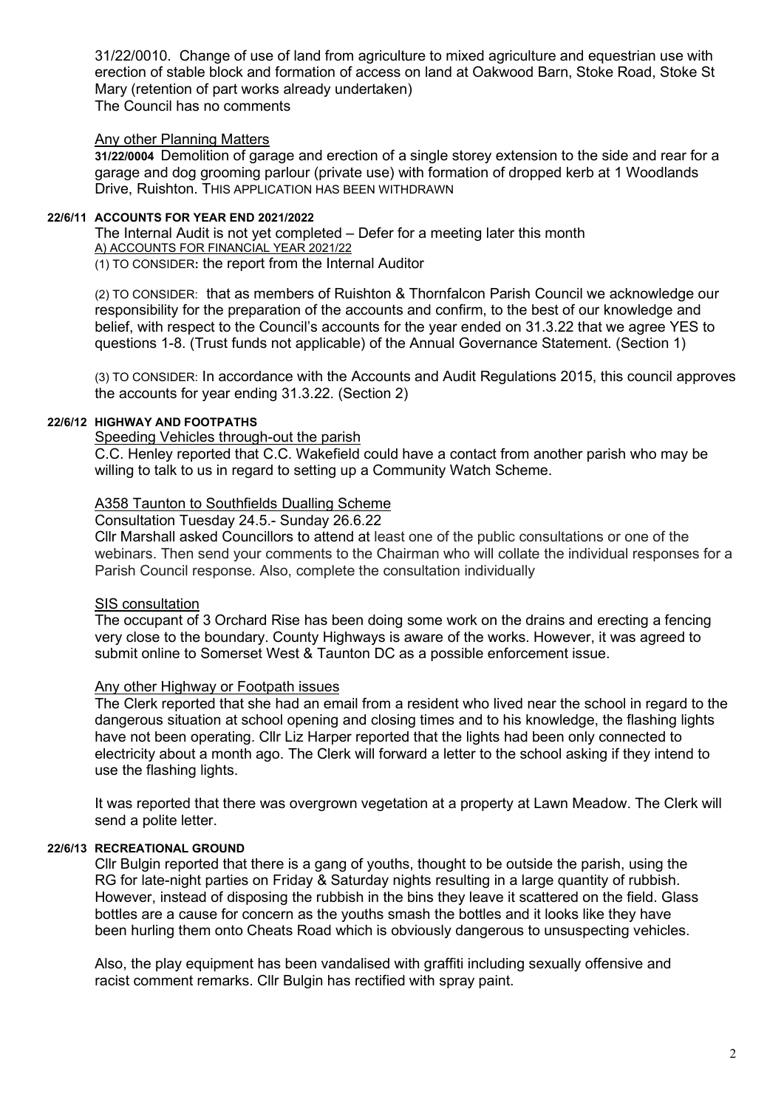31/22/0010. Change of use of land from agriculture to mixed agriculture and equestrian use with erection of stable block and formation of access on land at Oakwood Barn, Stoke Road, Stoke St Mary (retention of part works already undertaken)

The Council has no comments

## Any other Planning Matters

31/22/0004 Demolition of garage and erection of a single storey extension to the side and rear for a garage and dog grooming parlour (private use) with formation of dropped kerb at 1 Woodlands Drive, Ruishton. THIS APPLICATION HAS BEEN WITHDRAWN

### 22/6/11 ACCOUNTS FOR YEAR END 2021/2022

The Internal Audit is not yet completed – Defer for a meeting later this month A) ACCOUNTS FOR FINANCIAL YEAR 2021/22 (1) TO CONSIDER: the report from the Internal Auditor

(2) TO CONSIDER: that as members of Ruishton & Thornfalcon Parish Council we acknowledge our responsibility for the preparation of the accounts and confirm, to the best of our knowledge and belief, with respect to the Council's accounts for the year ended on 31.3.22 that we agree YES to questions 1-8. (Trust funds not applicable) of the Annual Governance Statement. (Section 1)

(3) TO CONSIDER: In accordance with the Accounts and Audit Regulations 2015, this council approves the accounts for year ending 31.3.22. (Section 2)

#### 22/6/12 HIGHWAY AND FOOTPATHS

#### Speeding Vehicles through-out the parish

C.C. Henley reported that C.C. Wakefield could have a contact from another parish who may be willing to talk to us in regard to setting up a Community Watch Scheme.

### A358 Taunton to Southfields Dualling Scheme

Consultation Tuesday 24.5.- Sunday 26.6.22

Cllr Marshall asked Councillors to attend at least one of the public consultations or one of the webinars. Then send your comments to the Chairman who will collate the individual responses for a Parish Council response. Also, complete the consultation individually

## SIS consultation

The occupant of 3 Orchard Rise has been doing some work on the drains and erecting a fencing very close to the boundary. County Highways is aware of the works. However, it was agreed to submit online to Somerset West & Taunton DC as a possible enforcement issue.

## Any other Highway or Footpath issues

The Clerk reported that she had an email from a resident who lived near the school in regard to the dangerous situation at school opening and closing times and to his knowledge, the flashing lights have not been operating. Cllr Liz Harper reported that the lights had been only connected to electricity about a month ago. The Clerk will forward a letter to the school asking if they intend to use the flashing lights.

It was reported that there was overgrown vegetation at a property at Lawn Meadow. The Clerk will send a polite letter.

### 22/6/13 RECREATIONAL GROUND

Cllr Bulgin reported that there is a gang of youths, thought to be outside the parish, using the RG for late-night parties on Friday & Saturday nights resulting in a large quantity of rubbish. However, instead of disposing the rubbish in the bins they leave it scattered on the field. Glass bottles are a cause for concern as the youths smash the bottles and it looks like they have been hurling them onto Cheats Road which is obviously dangerous to unsuspecting vehicles.

Also, the play equipment has been vandalised with graffiti including sexually offensive and racist comment remarks. Cllr Bulgin has rectified with spray paint.